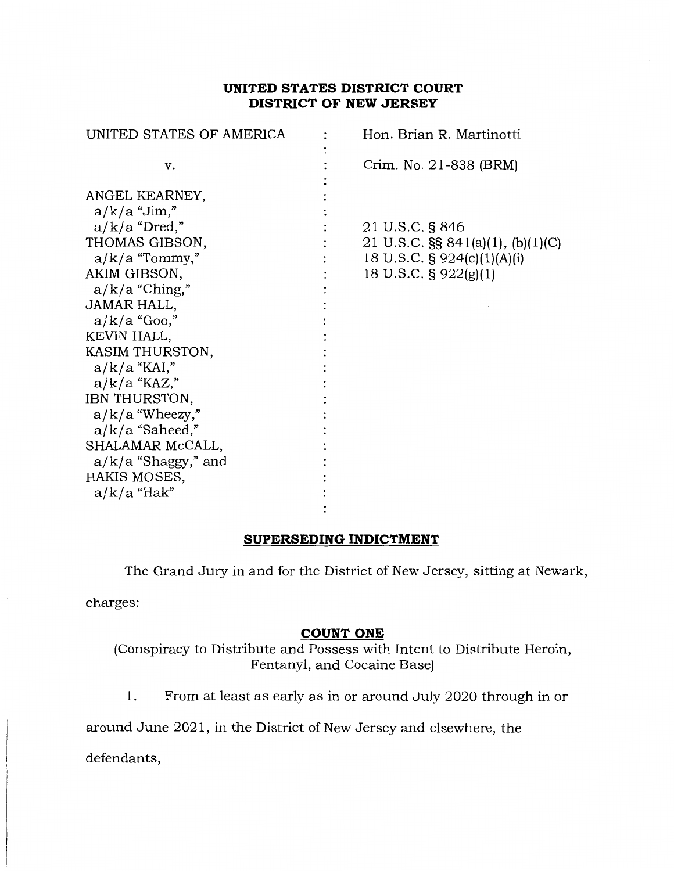# **UNITED STATES DISTRICT COURT DISTRICT OF NEW JERSEY**

| UNITED STATES OF AMERICA                                                                                                                                                                                                                                                                                                                                                      | Hon. Brian R. Martinotti                                                                                               |
|-------------------------------------------------------------------------------------------------------------------------------------------------------------------------------------------------------------------------------------------------------------------------------------------------------------------------------------------------------------------------------|------------------------------------------------------------------------------------------------------------------------|
| v.                                                                                                                                                                                                                                                                                                                                                                            | Crim. No. 21-838 (BRM)                                                                                                 |
| ANGEL KEARNEY,<br>$a/k/a$ "Jim,"<br>$a/k/a$ "Dred,"<br>THOMAS GIBSON,<br>$a/k/a$ "Tommy,"<br>AKIM GIBSON,<br>$a/k/a$ "Ching,"<br>JAMAR HALL,<br>$a/k/a$ "Goo,"<br>KEVIN HALL,<br>KASIM THURSTON,<br>$a/k/a$ "KAI,"<br>$a/k/a$ "KAZ,"<br>IBN THURSTON,<br>$a/k/a$ "Wheezy,"<br>$a/k/a$ "Saheed,"<br>SHALAMAR McCALL,<br>$a/k/a$ "Shaggy," and<br>HAKIS MOSES,<br>$a/k/a$ "Hak" | 21 U.S.C. § 846<br>21 U.S.C. $\S$ § 841(a)(1), (b)(1)(C)<br>18 U.S.C. $\S$ 924(c)(1)(A)(i)<br>18 U.S.C. $\S 922(g)(1)$ |
|                                                                                                                                                                                                                                                                                                                                                                               |                                                                                                                        |

### **SUPERSEDING INDICTMENT**

The Grand Jury in and for the District of New Jersey, sitting at Newark,

charges:

#### **COUNT ONE**

(Conspiracy to Distribute and Possess with Intent to Distribute Heroin, Fentanyl, and Cocaine Base)

1. From at least as early as in or around July 2020 through in or

around June 2021, in the District of New Jersey and elsewhere, the

defendants,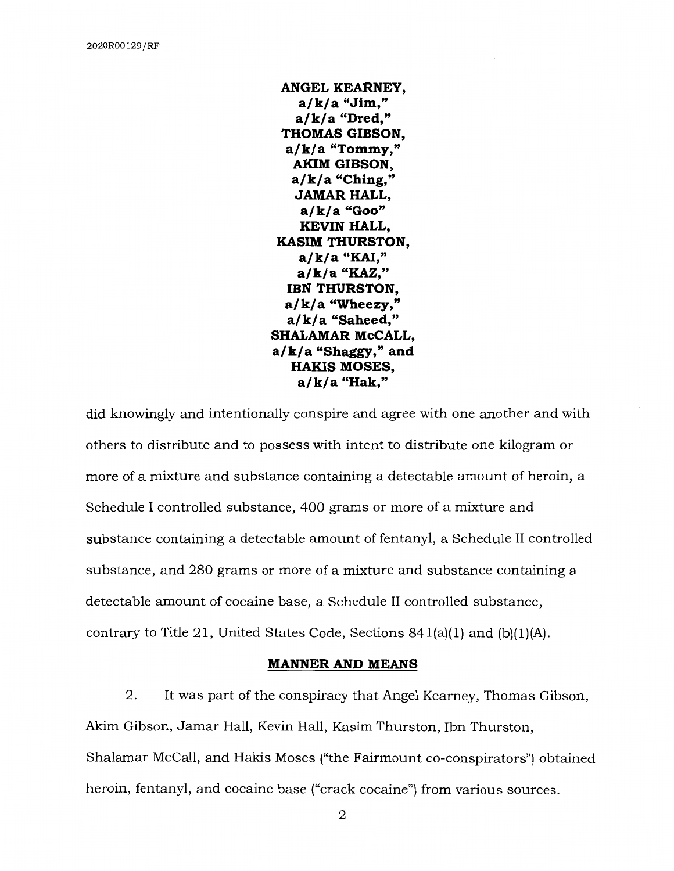**ANGEL KEARNEY, a/k/a "Jim," a/k/a "Dred," THOMAS GIBSON, a/k/a "Tommy," AKIM GIBSON, a/k/ a "Ching," JAMAR HALL, a/k/a "Goo" KEVIN HALL, KASIM THURSTON, a/k/a "KAI," a/k/a "KAZ," IBN THURSTON, a/ k/ a "Wheezy," a/k/a "Saheed," SHALAMAR McCALL, a/ k/ a "Shaggy," and HAKIS MOSES, a/k/a "Hak,"** 

did knowingly and intentionally conspire and agree with one another and with others to distribute and to possess with intent to distribute one kilogram or more of a mixture and substance containing a detectable amount of heroin, a Schedule I controlled substance, 400 grams or more of a mixture and substance containing a detectable amount of fentanyl, a Schedule II controlled substance, and 280 grams or more of a mixture and substance containing a detectable amount of cocaine base, a Schedule II controlled substance, contrary to Title 21, United States Code, Sections  $841(a)(1)$  and  $(b)(1)(A)$ .

#### **MANNER AND MEANS**

2. It was part of the conspiracy that Angel Kearney, Thomas Gibson, Akim Gibson, Jamar Hall, Kevin Hall, Kasim Thurston, Ibn Thurston, Shalamar McCall, and Hakis Moses ("the Fairmount co-conspirators") obtained heroin, fentanyl, and cocaine base ("crack cocaine") from various sources.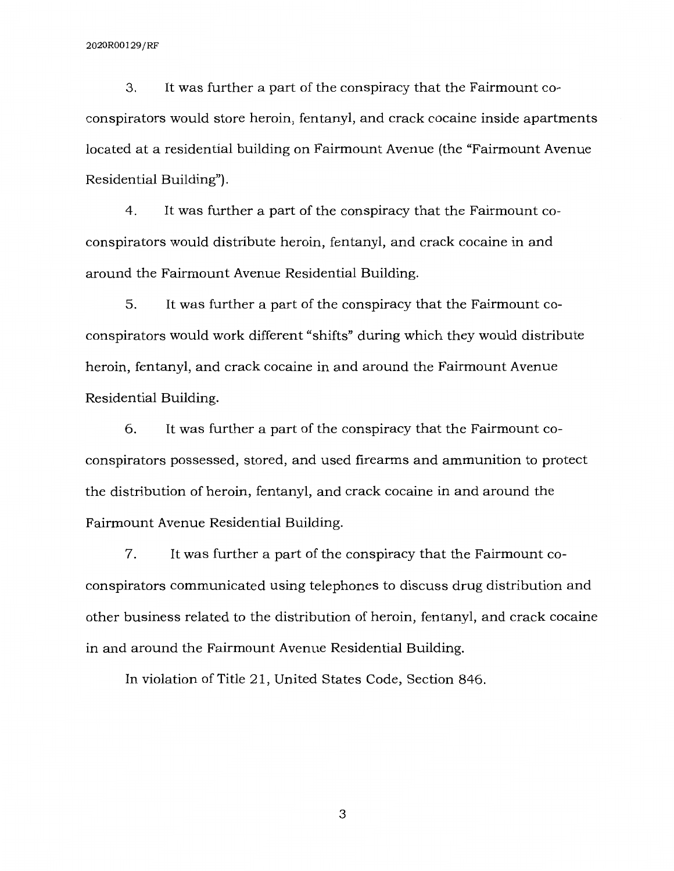3. It was further a part of the conspiracy that the Fairmount coconspirators would store heroin, fentanyl, and crack cocaine inside apartments located at a residential building on Fairmount Avenue (the "Fairmount Avenue Residential Building'').

4. It was further a part of the conspiracy that the Fairmount coconspirators would distribute heroin, fentanyl, and crack cocaine in and around the Fairmount Avenue Residential Building.

5. It was further a part of the conspiracy that the Fairmount coconspirators would work different "shifts" during which they would distribute heroin, fentanyl, and crack cocaine in and around the Fairmount Avenue Residential Building.

6. It was further a part of the conspiracy that the Fairmount coconspirators possessed, stored, and used firearms and ammunition to protect the distribution of heroin, fentanyl, and crack cocaine in and around the Fairmount Avenue Residential Building.

7. It was further a part of the conspiracy that the Fairmount coconspirators communicated using telephones to discuss drug distribution and other business related to the distribution of heroin, fentanyl, and crack cocaine in and around the Fairmount Avenue Residential Building.

In violation of Title 21, United States Code, Section 846.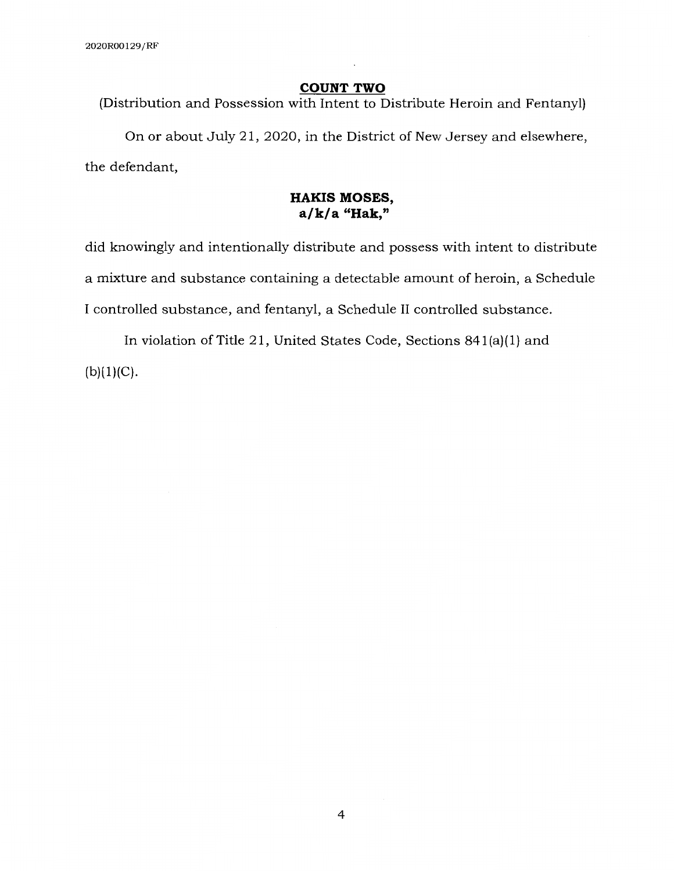#### **COUNT TWO**

(Distribution and Possession with Intent to Distribute Heroin and Fentanyl)

On or about July 21, 2020, in the District of New Jersey and elsewhere, the defendant,

# **HAKIS MOSES, a/k/a "Hak,"**

did knowingly and intentionally distribute and possess with intent to distribute a mixture and substance containing a detectable amount of heroin, a Schedule I controlled substance, and fentanyl, a Schedule II controlled substance.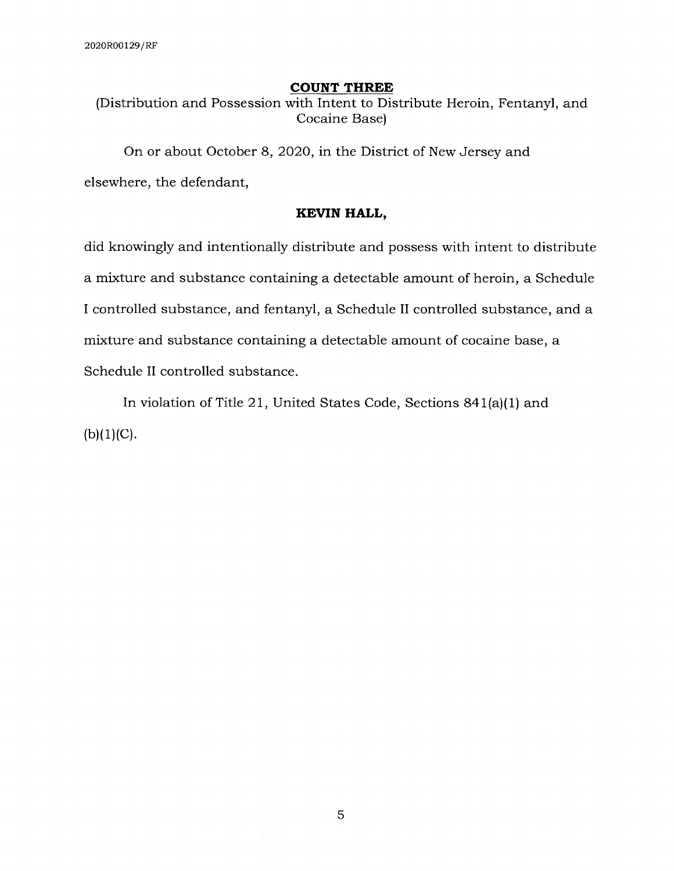#### **COUNT THREE**

(Distribution and Possession with Intent to Distribute Heroin, Fentanyl, and Cocaine Base)

On or about October 8, 2020, in the District of New Jersey and elsewhere, the defendant,

### **KEVIN HALL,**

did knowingly and intentionally distribute and possess with intent to distribute a mixture and substance containing a detectable amount of heroin, a Schedule I controlled substance, and fentanyl, a Schedule II controlled substance, and a mixture and substance containing a detectable amount of cocaine base, a Schedule II controlled substance.

In violation of Title 21, United States Code, Sections 841(a)(l) and  $(b)(1)(C).$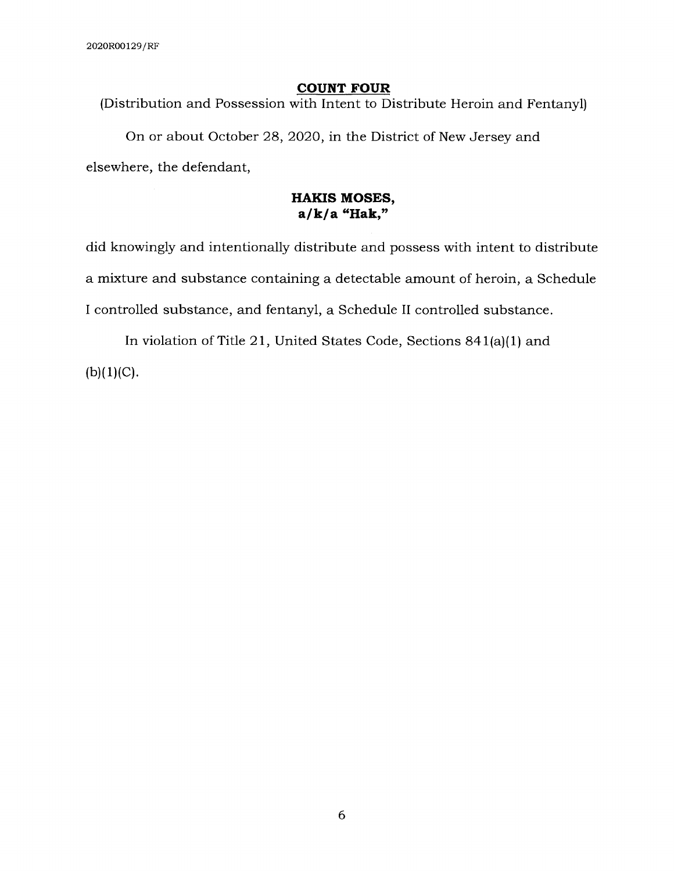### **COUNT FOUR**

(Distribution and Possession with Intent to Distribute Heroin and Fentanyl)

On or about October 28, 2020, in the District of New Jersey and elsewhere, the defendant,

### **HAKIS MOSES, a/k/a "Hak,"**

did knowingly and intentionally distribute and possess with intent to distribute a mixture and substance containing a detectable amount of heroin, a Schedule I controlled substance, and fentanyl, a Schedule II controlled substance.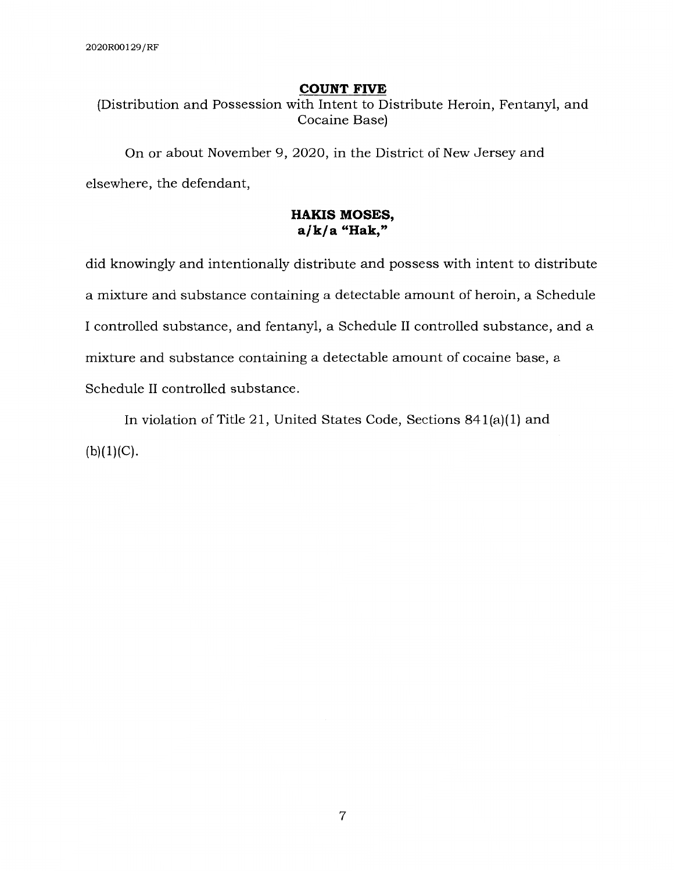#### **COUNT FIVE**

(Distribution and Possession with Intent to Distribute Heroin, Fentanyl, and Cocaine Base)

On or about November 9, 2020, in the District of New Jersey and elsewhere, the defendant,

# **HAKIS MOSES, a/k/a "Hak,"**

did knowingly and intentionally distribute and possess with intent to distribute a mixture and substance containing a detectable amount of heroin, a Schedule I controlled substance, and fentanyl, a Schedule II controlled substance, and a mixture and substance containing a detectable amount of cocaine base, a Schedule II controlled substance.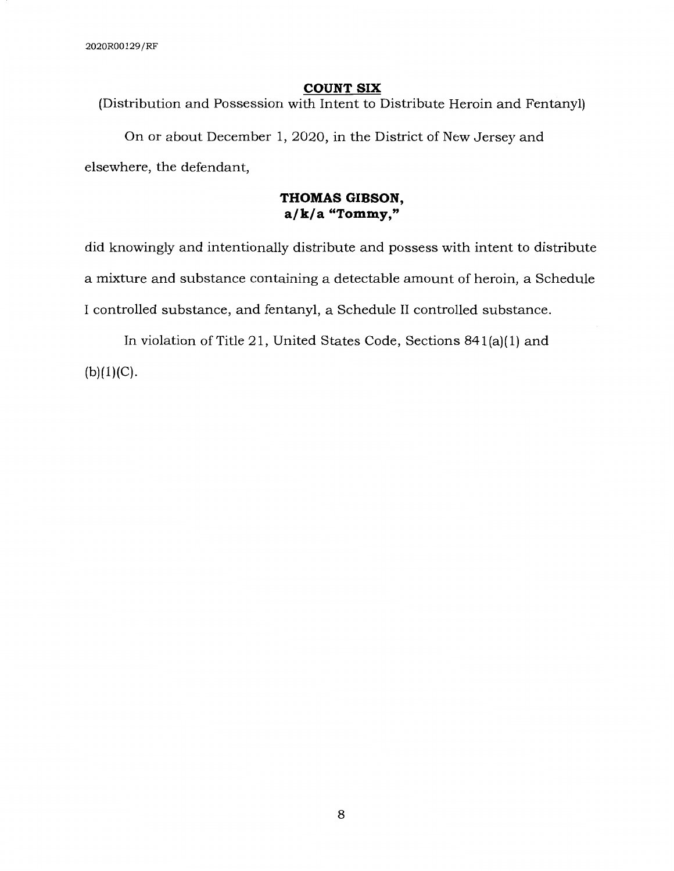#### **COUNT SIX**

(Distribution and Possession with Intent to Distribute Heroin and Fentanyl)

On or about December 1, 2020, in the District of New Jersey and elsewhere, the defendant,

## **THOMAS GIBSON, a/k/a "Tommy,"**

did knowingly and intentionally distribute and possess with intent to distribute a mixture and substance containing a detectable amount of heroin, a Schedule I controlled substance, and fentanyl, a Schedule II controlled substance.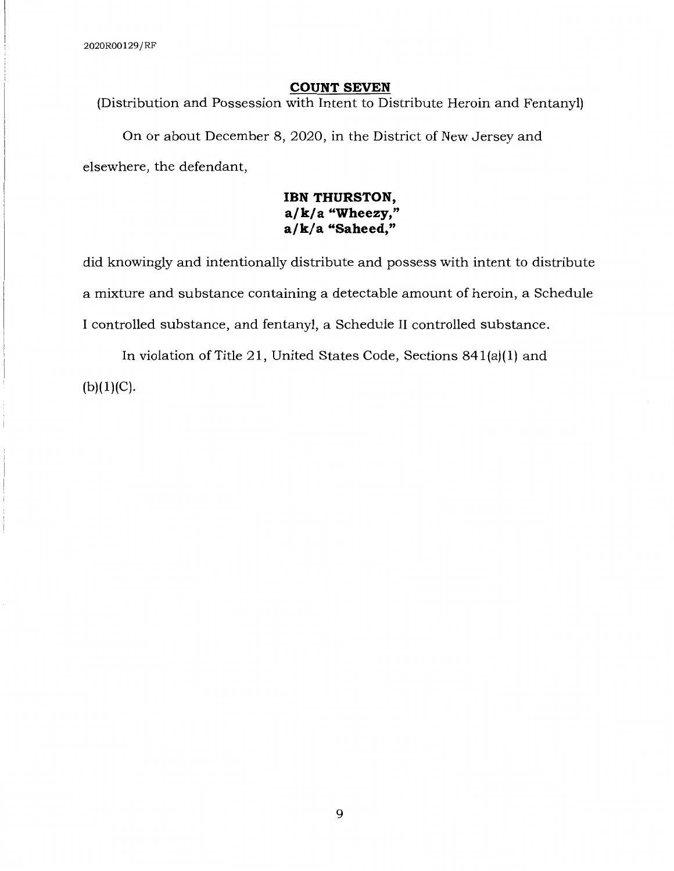#### **COUNT SEVEN**

(Distribution and Possession with Intent to Distribute Heroin and Fentanyl)

On or about December 8, 2020, in the District of New Jersey and elsewhere, the defendant,

# **IBN THURSTON, a/ k/ a "Wheezy," a/k/a "Saheed,"**

did knowingly and intentionally distribute and possess with intent to distribute a mixture and substance containing a detectable amount of heroin, a Schedule I controlled substance, and fentanyl, a Schedule II controlled substance.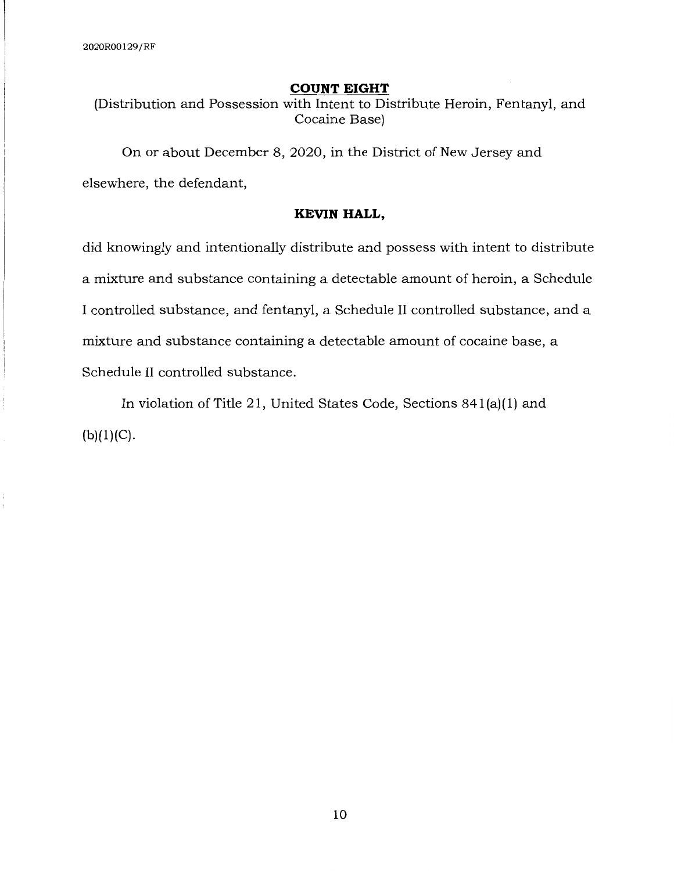#### **COUNT EIGHT**

(Distribution and Possession with Intent to Distribute Heroin, Fentanyl, and Cocaine Base)

On or about December 8, 2020, in the District of New Jersey and elsewhere, the defendant,

### **KEVIN HALL,**

did knowingly and intentionally distribute and possess with intent to distribute a mixture and substance containing a detectable amount of heroin, a Schedule I controlled substance, and fentanyl, a Schedule II controlled substance, and a mixture and substance containing a detectable amount of cocaine base, a Schedule II controlled substance.

In violation of Title 21, United States Code, Sections 841(a)(l) and  $(b)(1)(C)$ .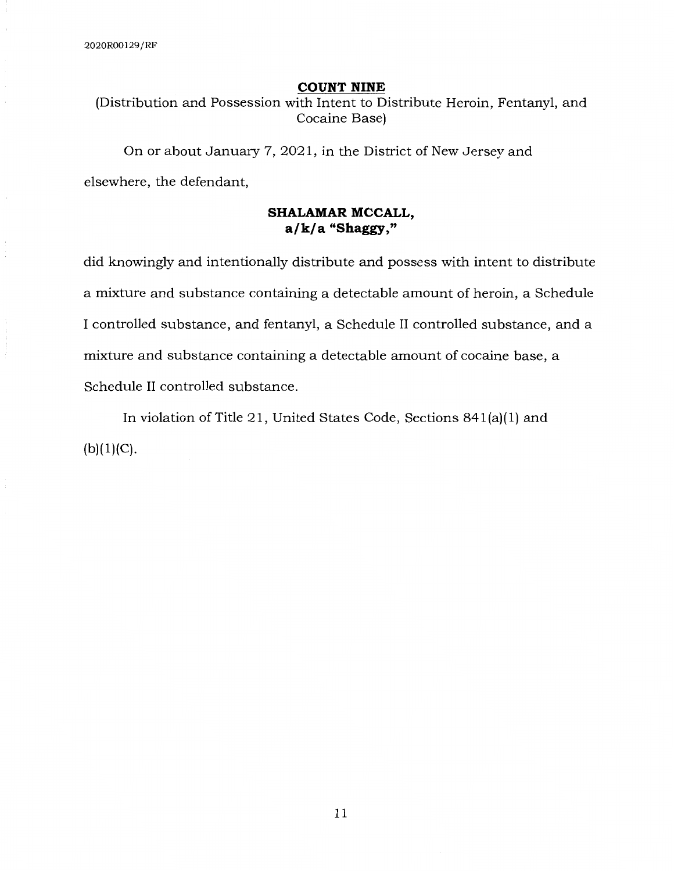#### **COUNT NINE**

(Distribution and Possession with Intent to Distribute Heroin, Fentanyl, and Cocaine Base)

On or about January 7, 2021, in the District of New Jersey and elsewhere, the defendant,

# **SHALAMAR MCCALL, a/k/a "Shaggy,"**

did knowingly and intentionally distribute and possess with intent to distribute a mixture and substance containing a detectable amount of heroin, a Schedule I controlled substance, and fentanyl, a Schedule II controlled substance, and a mixture and substance containing a detectable amount of cocaine base, a Schedule II controlled substance.

In violation of Title 21, United States Code, Sections 841(a)(l) and  $(b)(1)(C)$ .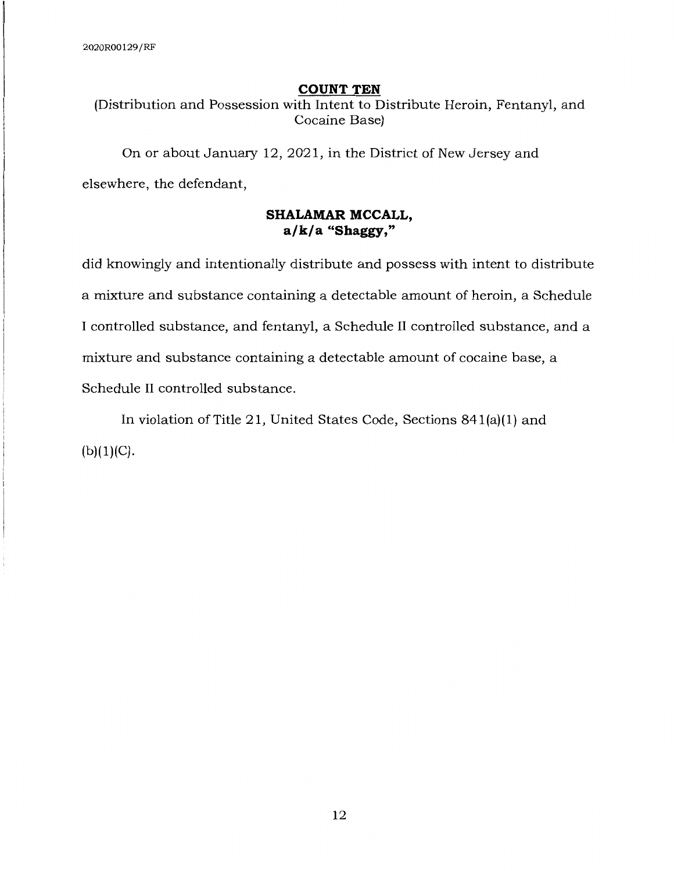#### **COUNT TEN**

(Distribution and Possession with Intent to Distribute Heroin, Fentanyl, and Cocaine Base)

On or about January 12, 2021, in the District of New Jersey and elsewhere, the defendant,

# **SHALAMAR MCCALL, a/k/a "Shaggy,"**

did knowingly and intentionally distribute and possess with intent to distribute a mixture and substance containing a detectable amount of heroin, a Schedule I controlled substance, and fentanyl, a Schedule II controlled substance, and a mixture and substance containing a detectable amount of cocaine base, a Schedule II controlled substance.

In violation of Title 21, United States Code, Sections 841(a)(l) and  $(b)(1)(C)$ .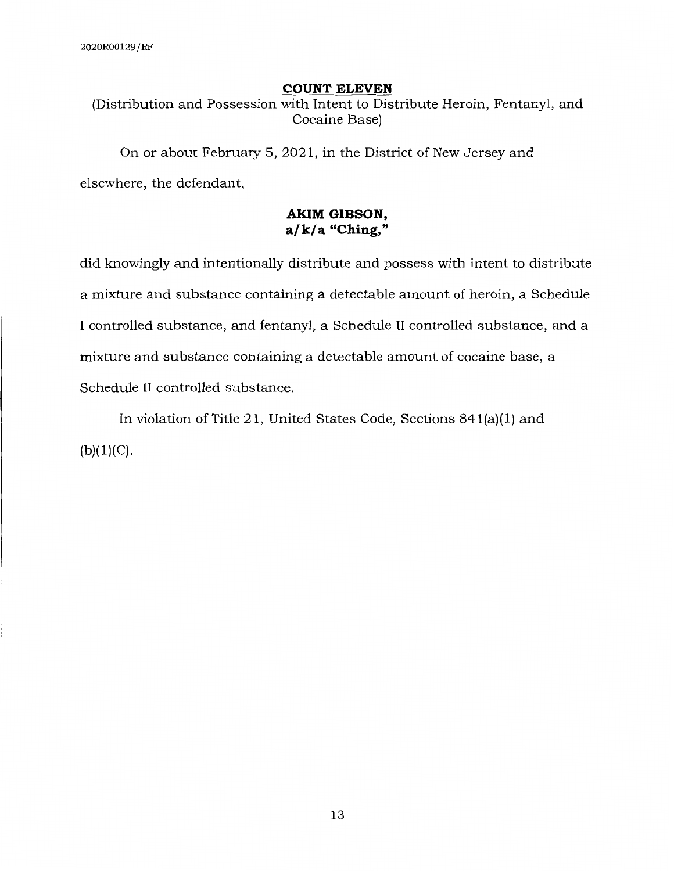#### **COUNT ELEVEN**

(Distribution and Possession with Intent to Distribute Heroin, Fentanyl, and Cocaine Base)

On or about February 5, 2021, in the District of New Jersey and elsewhere, the defendant,

# **AKIM GIBSON, a/k/a "Ching,"**

did knowingly and intentionally distribute and possess with intent to distribute a mixture and substance containing a detectable amount of heroin, a Schedule I controlled substance, and fentanyl, a Schedule II controlled substance, and a mixture and substance containing a detectable amount of cocaine base, a Schedule II controlled substance.

In violation of Title 21, United States Code, Sections 841(a)(l) and  $(b)(1)(C)$ .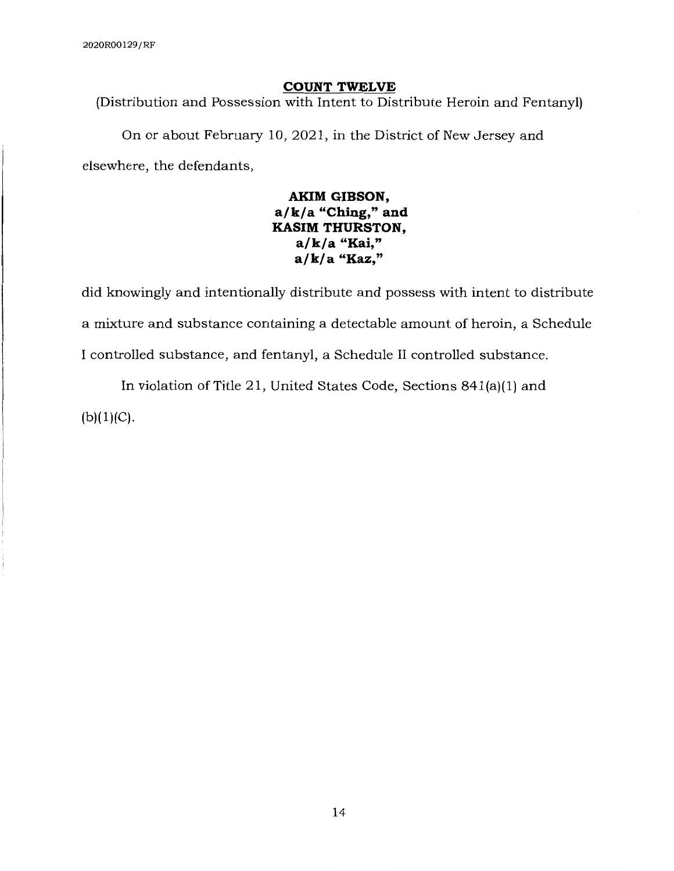#### **COUNT TWELVE**

(Distribution and Possession with Intent to Distribute Heroin and Fentanyl)

On or about February 10, 2021, in the District of New Jersey and elsewhere, the defendants,

> **AKIM GIBSON, a/ k/ a "Ching," and KASIM THURSTON, a/k/a "Kai," a/ k/ a "Kaz,"**

did knowingly and intentionally distribute and possess with intent to distribute a mixture and substance containing a detectable amount of heroin, a Schedule I controlled substance, and fentanyl, a Schedule II controlled substance.

In violation of Title 21, United States Code, Sections 841(a)(l) and  $(b)(1)(C).$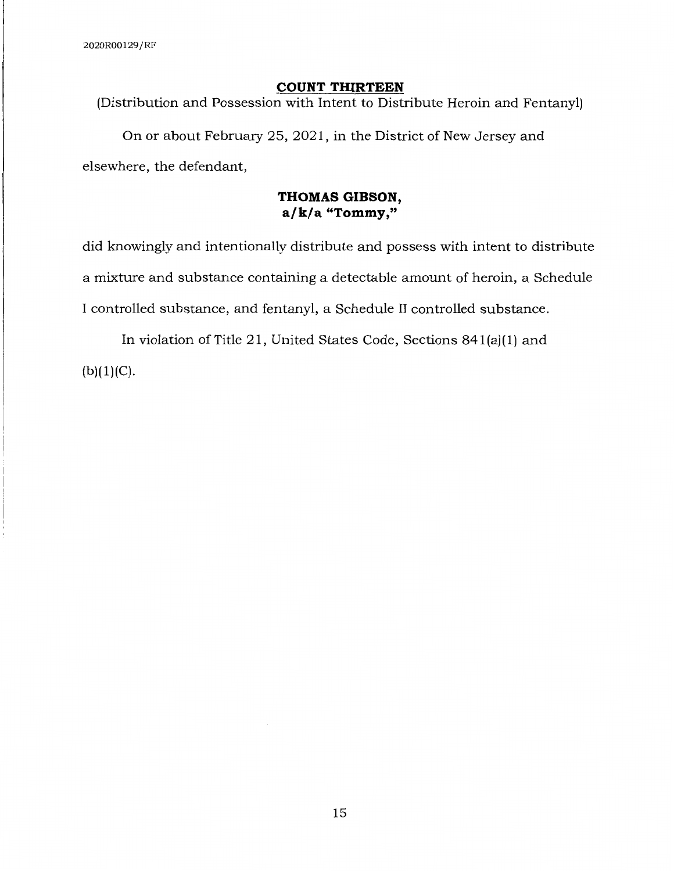#### **COUNT THIRTEEN**

(Distribution and Possession with Intent to Distribute Heroin and Fentanyl)

On or about February 25, 2021, in the District of New Jersey and elsewhere, the defendant,

## **THOMAS GIBSON, a/ k/ a "Tommy,"**

did knowingly and intentionally distribute and possess with intent to distribute a mixture and substance containing a detectable amount of heroin, a Schedule I controlled substance, and fentanyl, a Schedule II controlled substance.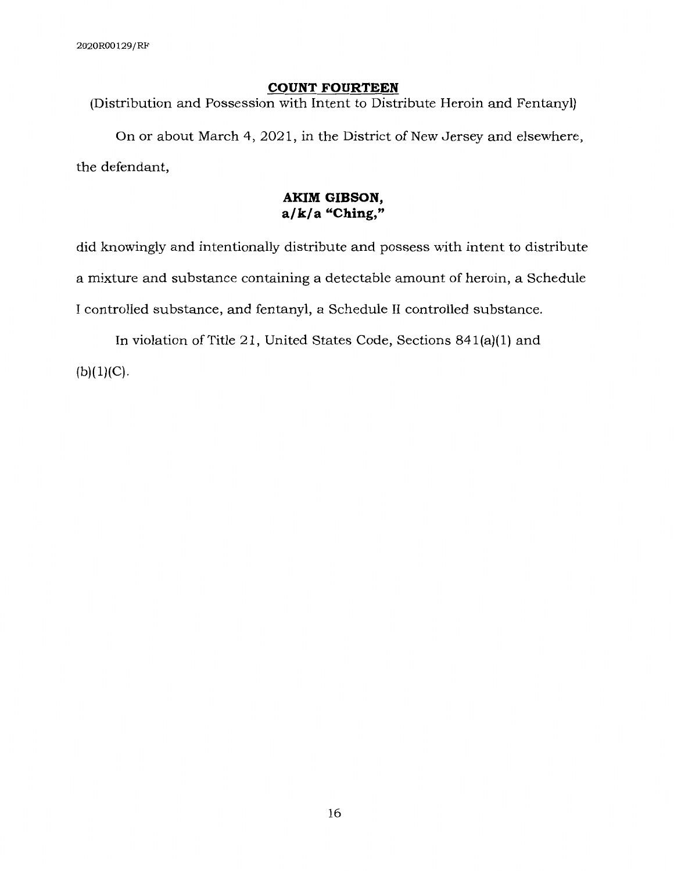### **COUNT FOURTEEN**

(Distribution and Possession with Intent to Distribute Heroin and Fentanyl)

On or about March 4, 2021, in the District of New Jersey and elsewhere, the defendant,

# **AKIM GIBSON, a/k/a "Ching,"**

did knowingly and intentionally distribute and possess with intent to distribute a mixture and substance containing a detectable amount of heroin, a Schedule I controlled substance, and fentanyl, a Schedule II controlled substance.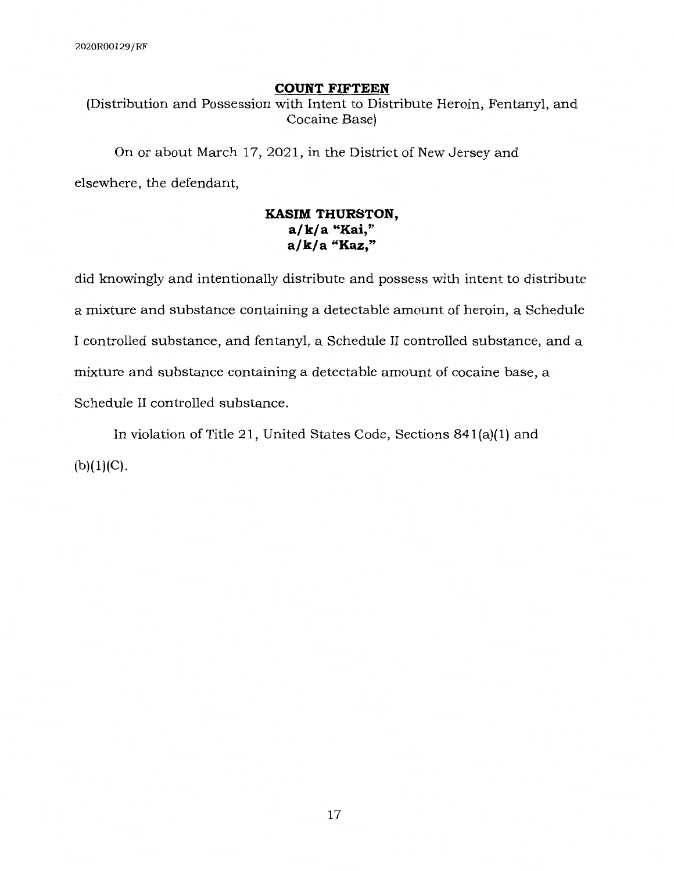### **COUNT FIFTEEN**

(Distribution and Possession with Intent to Distribute Heroin, Fentanyl, and Cocaine Base)

On or about March 17, 2021, in the District of New Jersey and elsewhere, the defendant,

# **KASIM THURSTON, a/k/a "Kai," a/ k/ a "Kaz,"**

did knowingly and intentionally distribute and possess with intent to distribute a mixture and substance containing a detectable amount of heroin, a Schedule I controlled substance, and fentanyl, a Schedule II controlled substance, and a mixture and substance containing a detectable amount of cocaine base, a Schedule II controlled substance.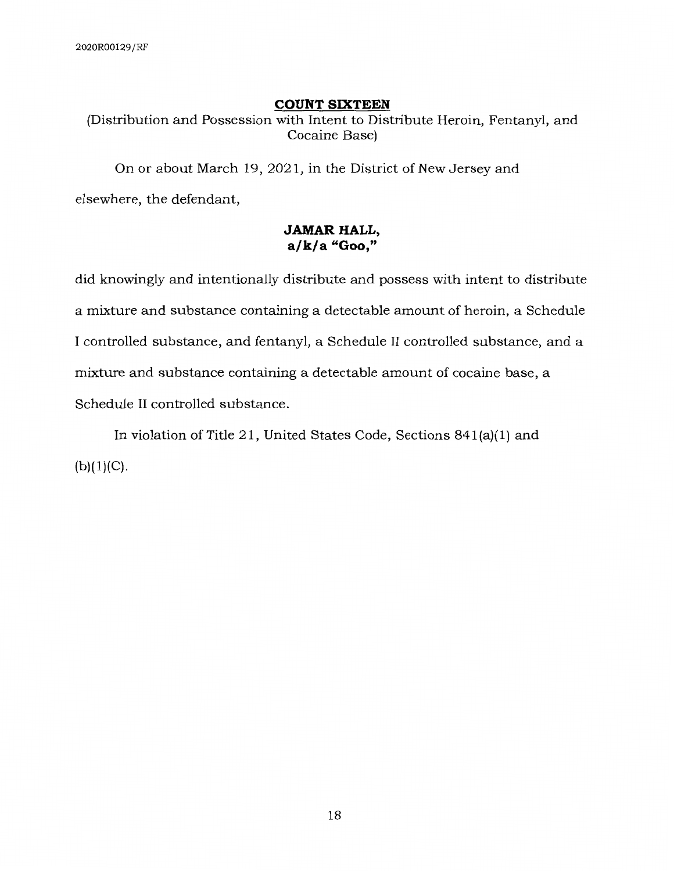#### **COUNT SIXTEEN**

(Distribution and Possession with Intent to Distribute Heroin, Fentanyl, and Cocaine Base)

On or about March 19, 2021, in the District of New Jersey and elsewhere, the defendant,

## **JAMAR HALL, a/k/a "Goo,"**

did knowingly and intentionally distribute and possess with intent to distribute a mixture and substance containing a detectable amount of heroin, a Schedule I controlled substance, and fentanyl, a Schedule II controlled substance, and a mixture and substance containing a detectable amount of cocaine base, a Schedule II controlled substance.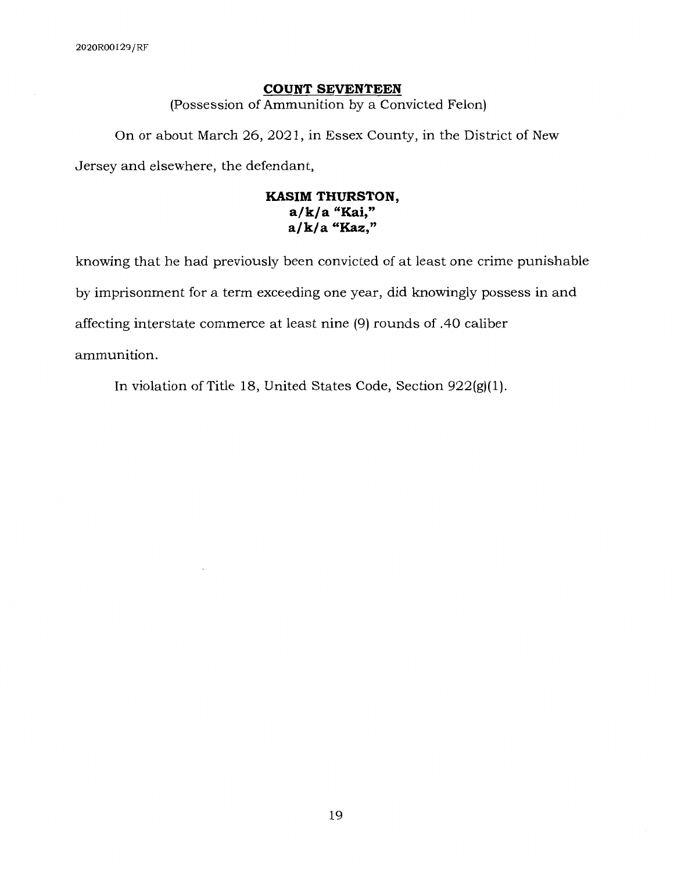#### **COUNT SEVENTEEN**

(Possession of Ammunition by a Convicted Felon)

On or about March 26, 2021, in Essex County, in the District of New Jersey and elsewhere, the defendant,

# **KASIM THURSTON, a/k/a "Kai," a/k/a "Kaz,"**

knowing that he had previously been convicted of at least one crime punishable by imprisonment for a term exceeding one year, did knowingly possess in and affecting interstate commerce at least nine (9) rounds of .40 caliber ammunition.

In violation of Title 18, United States Code, Section 922(g)(l).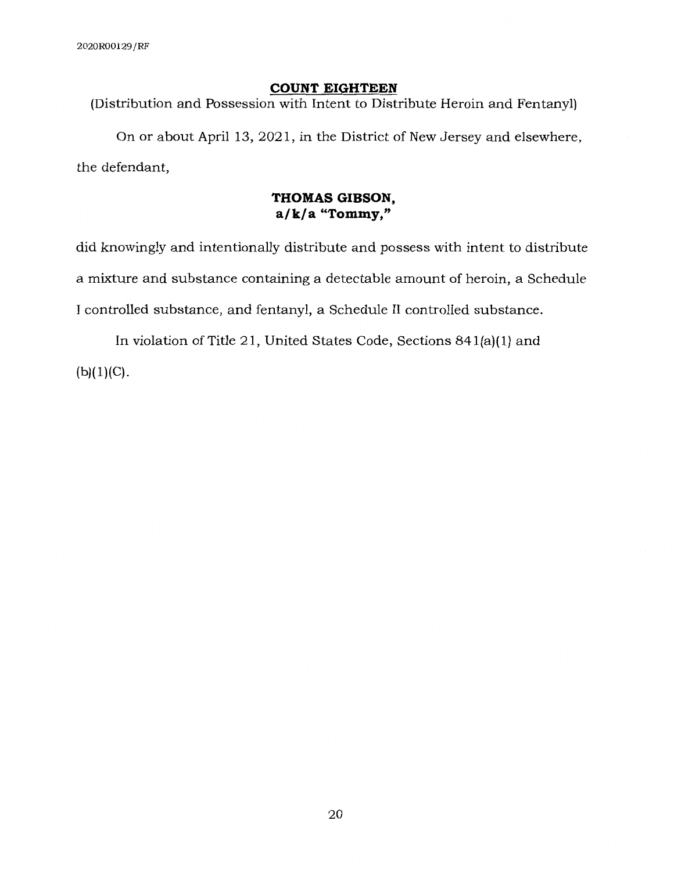#### **COUNT EIGHTEEN**

(Distribution and Possession with Intent to Distribute Heroin and Fentanyl)

On or about April 13, 2021, in the District of New Jersey and elsewhere, the defendant,

## **THOMAS GIBSON, a/k/a "Tommy,"**

did knowingly and intentionally distribute and possess with intent to distribute a mixture and substance containing a detectable amount of heroin, a Schedule I controlled substance, and fentanyl, a Schedule II controlled substance.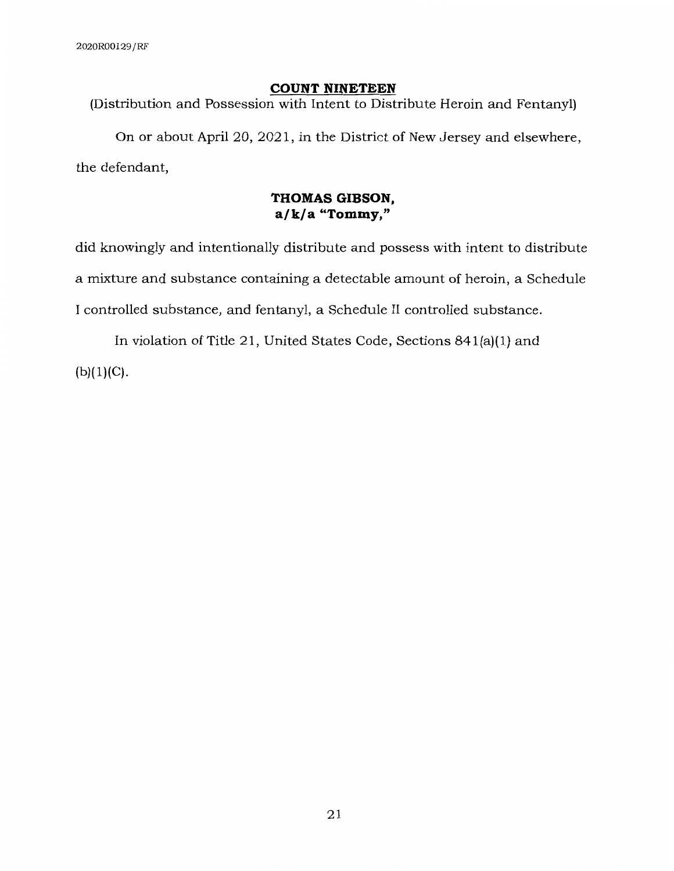### **COUNT NINETEEN**

(Distribution and Possession with Intent to Distribute Heroin and Fentanyl)

On or about April 20, 2021, in the District of New Jersey and elsewhere, the defendant,

### **THOMAS GIBSON, a/k/a "Tommy,"**

did knowingly and intentionally distribute and possess with intent to distribute a mixture and substance containing a detectable amount of heroin, a Schedule I controlled substance, and fentanyl, a Schedule II controlled substance.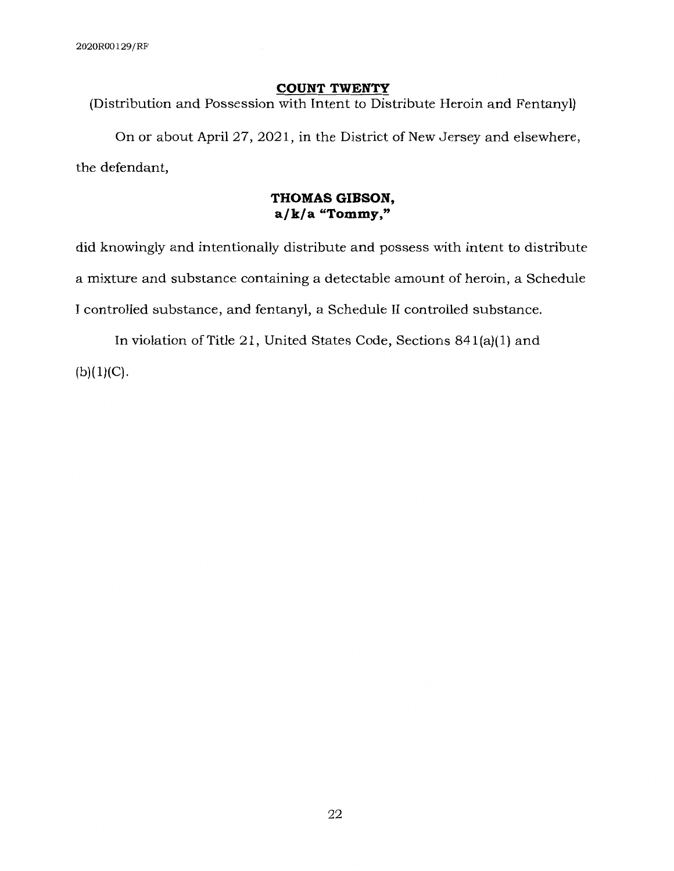### **COUNT TWENTY**

(Distribution and Possession with Intent to Distribute Heroin and Fentanyl)

On or about April 27, 2021, in the District of New Jersey and elsewhere, the defendant,

## **THOMAS GIBSON, a/k/a "Tommy,"**

did knowingly and intentionally distribute and possess with intent to distribute a mixture and substance containing a detectable amount of heroin, a Schedule I controlled substance, and fentanyl, a Schedule II controlled substance.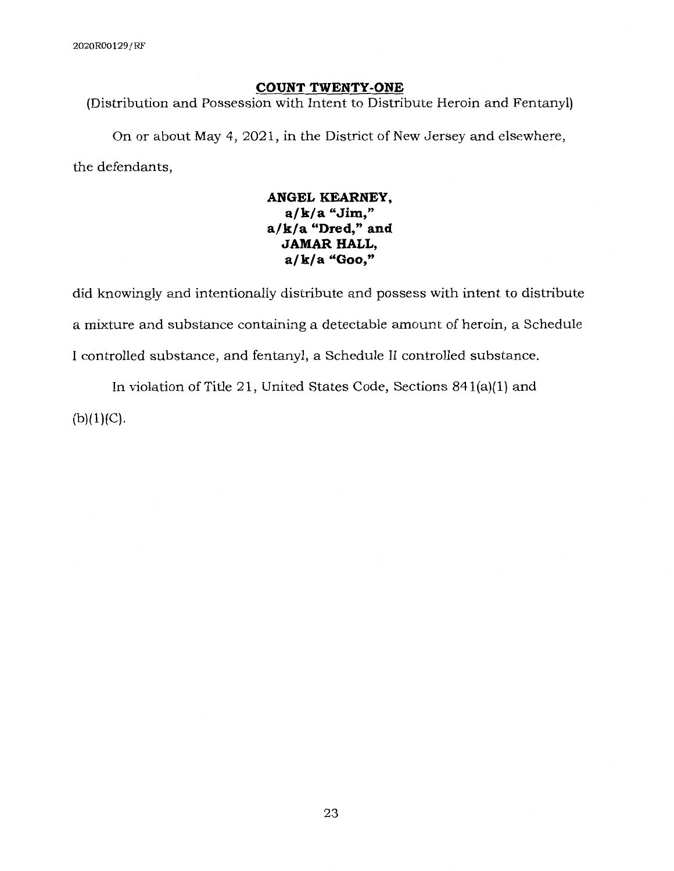### **COUNT TWENTY-ONE**

(Distribution and Possession with Intent to Distribute Heroin and Fentanyl)

On or about May 4, 2021, in the District of New Jersey and elsewhere, the defendants,

# **ANGEL KEARNEY, a/k/a "Jim," a/k/a "Dred," and JAMAR HALL, a/k/a "Goo,"**

did knowingly and intentionally distribute and possess with intent to distribute a mixture and substance containing a detectable amount of heroin, a Schedule I controlled substance, and fentanyl, a Schedule II controlled substance.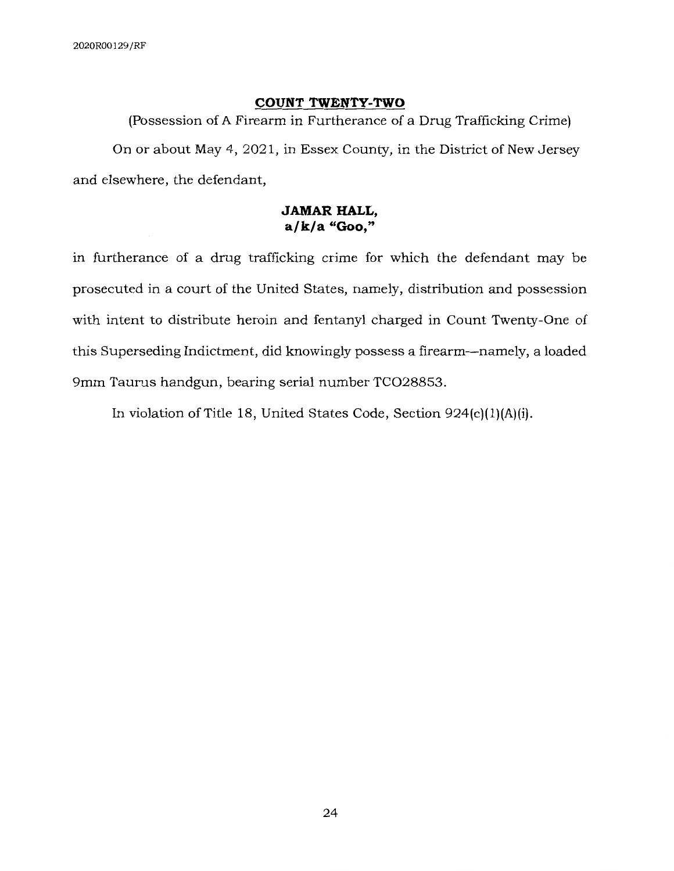## **COUNT TWENTY-TWO**

(Possession of A Firearm in Furtherance of a Drug Trafficking Crime) On or about May 4, 2021, in Essex County, in the District of New Jersey and elsewhere, the defendant,

## **JAMAR HALL, a/k/a "Goo,"**

in furtherance of a drug trafficking crime for which the defendant may be prosecuted in a court of the United States, namely, distribution and possession with intent to distribute heroin and fentanyl charged in Count Twenty-One of this Superseding Indictment, did knowingly possess a firearm-namely, a loaded 9mm Taurus handgun, bearing serial number TCO28853.

In violation of Title 18, United States Code, Section 924(c)(l)(A)(i).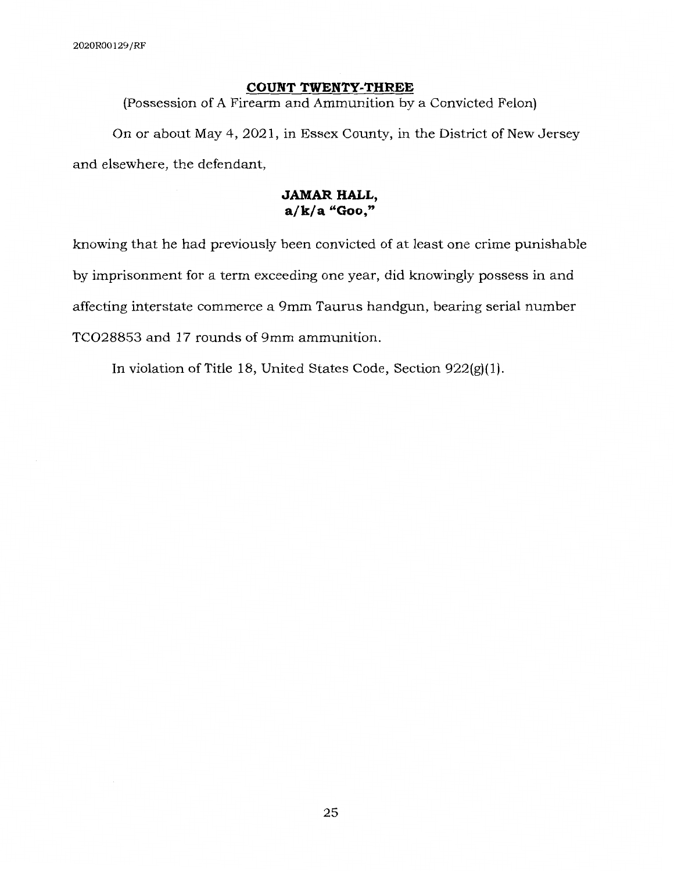#### **COUNT TWENTY-THREE**

(Possession of A Firearm and Ammunition by a Convicted Felon)

On or about May 4, 2021, in Essex County, in the District of New Jersey and elsewhere, the defendant,

### **JAMAR HALL, a/k/a "Goo,"**

knowing that he had previously been convicted of at least one crime punishable by imprisonment for a term exceeding one year, did knowingly possess in and affecting interstate commerce a 9mm Taurus handgun, bearing serial number TCO28853 and 17 rounds of 9mm ammunition.

In violation of Title 18, United States Code, Section 922(g)(l).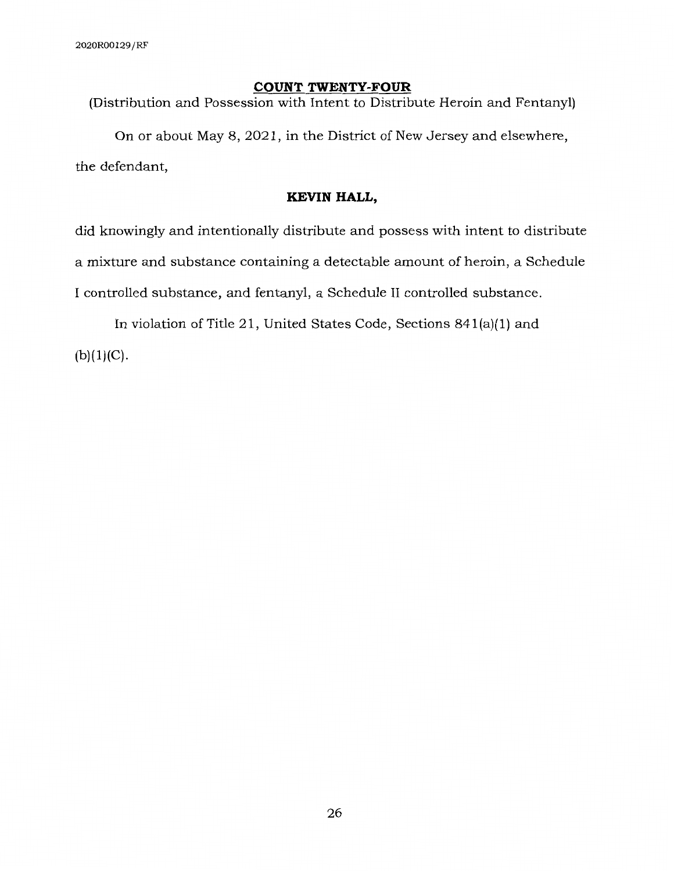### **COUNT TWENTY-FOUR**

(Distribution and Possession with Intent to Distribute Heroin and Fentanyl)

On or about May 8, 2021, in the District of New Jersey and elsewhere, the defendant,

### **KEVIN HALL,**

did knowingly and intentionally distribute and possess with intent to distribute a mixture and substance containing a detectable amount of heroin, a Schedule I controlled substance, and fentanyl, a Schedule II controlled substance.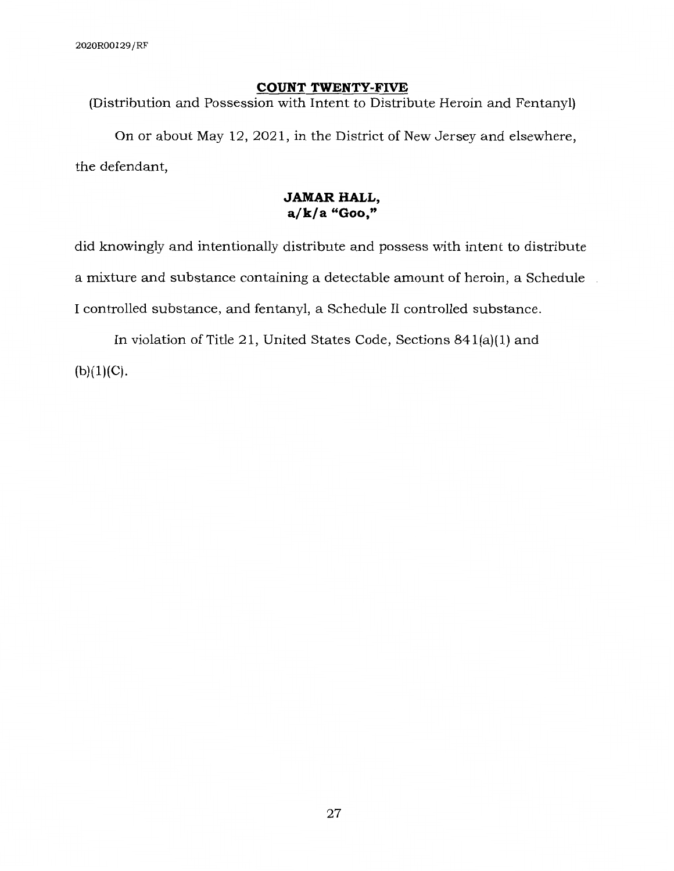### **COUNT TWENTY-FIVE**

(Distribution and Possession with Intent to Distribute Heroin and Fentanyl)

On or about May 12, 2021, in the District of New Jersey and elsewhere, the defendant,

# **JAMAR HALL, a/k/a "Goo,"**

did knowingly and intentionally distribute and possess with intent to distribute a mixture and substance containing a detectable amount of heroin, a Schedule I controlled substance, and fentanyl, a Schedule II controlled substance.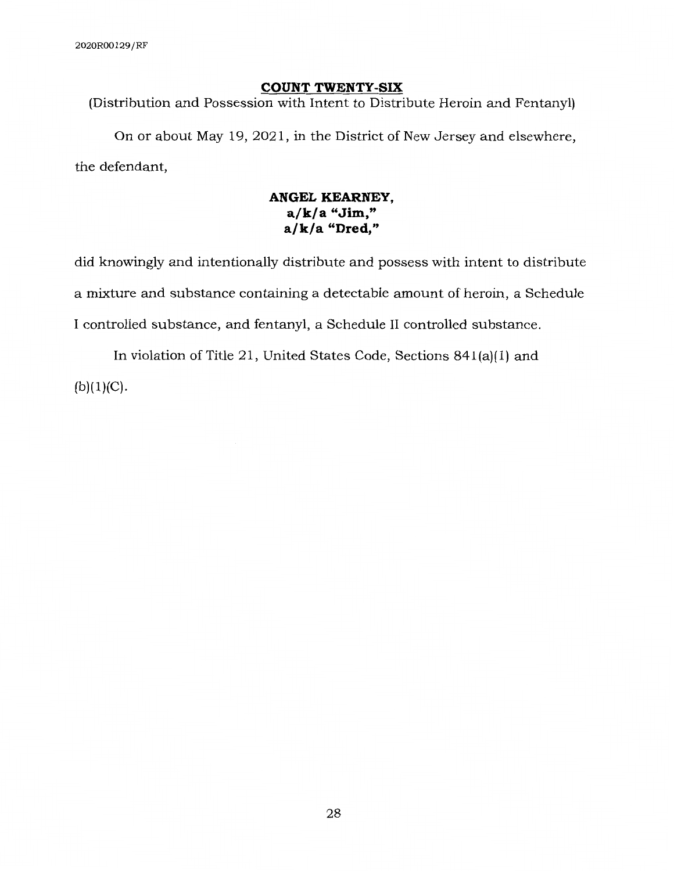### **COUNT TWENTY-SIX**

(Distribution and Possession with Intent to Distribute Heroin and Fentanyl)

On or about May 19, 2021, in the District of New Jersey and elsewhere, the defendant,

# **ANGEL KEARNEY, a/k/a "Jim," a/k/a "Dred,"**

did knowingly and intentionally distribute and possess with intent to distribute a mixture and substance containing a detectable amount of heroin, a Schedule I controlled substance, and fentanyl, a Schedule II controlled substance.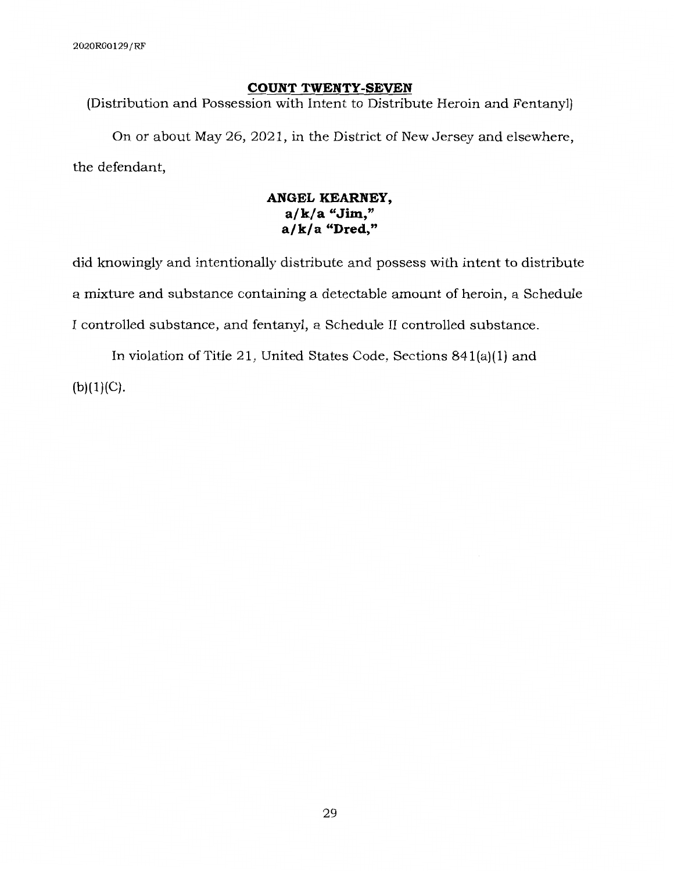### **COUNT TWENTY-SEVEN**

(Distribution and Possession with Intent to Distribute Heroin and Fentanyl)

On or about May 26, 2021, in the District of New Jersey and elsewhere, the defendant,

# **ANGEL KEARNEY, a/k/a "Jim," a/k/a "Dred,"**

did knowingly and intentionally distribute and possess with intent to distribute a mixture and substance containing a detectable amount of heroin, a Schedule I controlled substance, and fentanyl, a Schedule II controlled substance.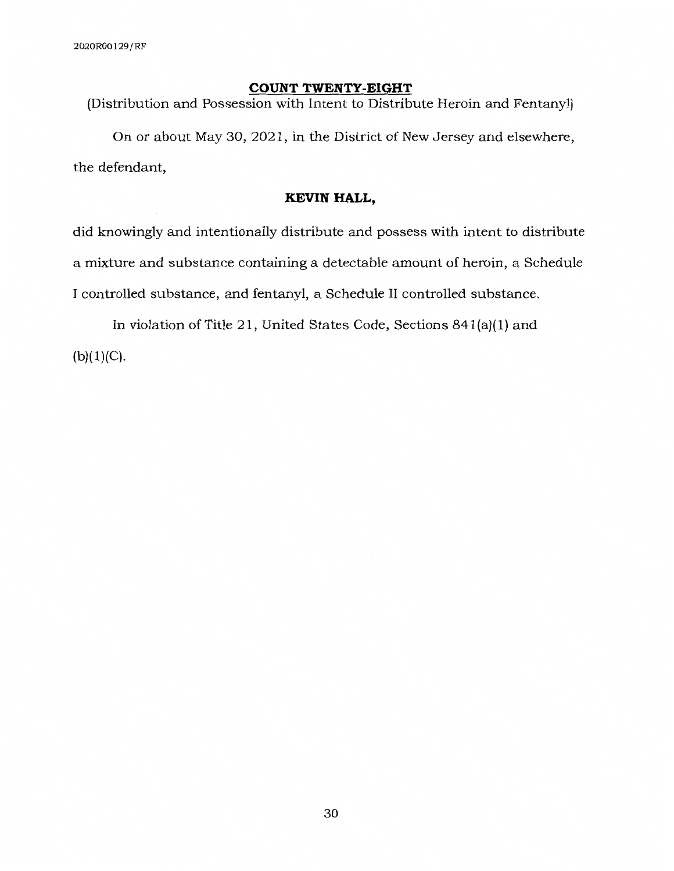#### **COUNT TWENTY-EIGHT**

(Distribution and Possession with Intent to Distribute Heroin and Fentanyl)

On or about May 30, 2021, in the District of New Jersey and elsewhere, the defendant,

#### **KEVIN HALL,**

did knowingly and intentionally distribute and possess with intent to distribute a mixture and substance containing a detectable amount of heroin, a Schedule I controlled substance, and fentanyl, a Schedule II controlled substance.

In violation of Title 21, United States Code, Sections 841(a)(l) and  $(b)(1)(C)$ .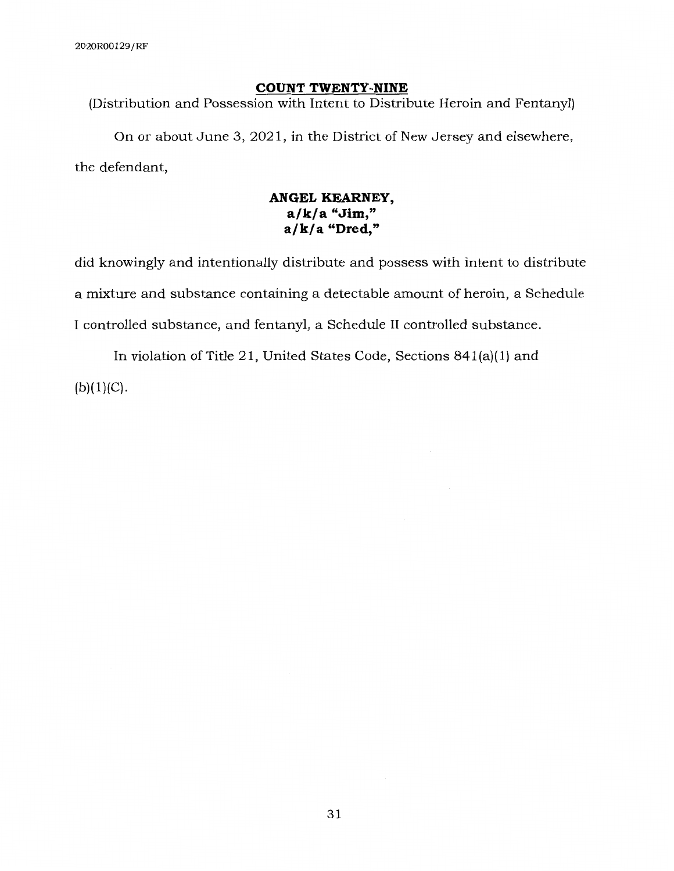#### **COUNT TWENTY-NINE**

(Distribution and Possession with Intent to Distribute Heroin and Fentanyl)

On or about June 3, 2021, in the District of New Jersey and elsewhere, the defendant,

# **ANGEL KEARNEY, a/k/a "Jim," a/k/a "Dred,"**

did knowingly and intentionally distribute and possess with intent to distribute a mixture and substance containing a detectable amount of heroin, a Schedule I controlled substance, and fentanyl, a Schedule II controlled substance.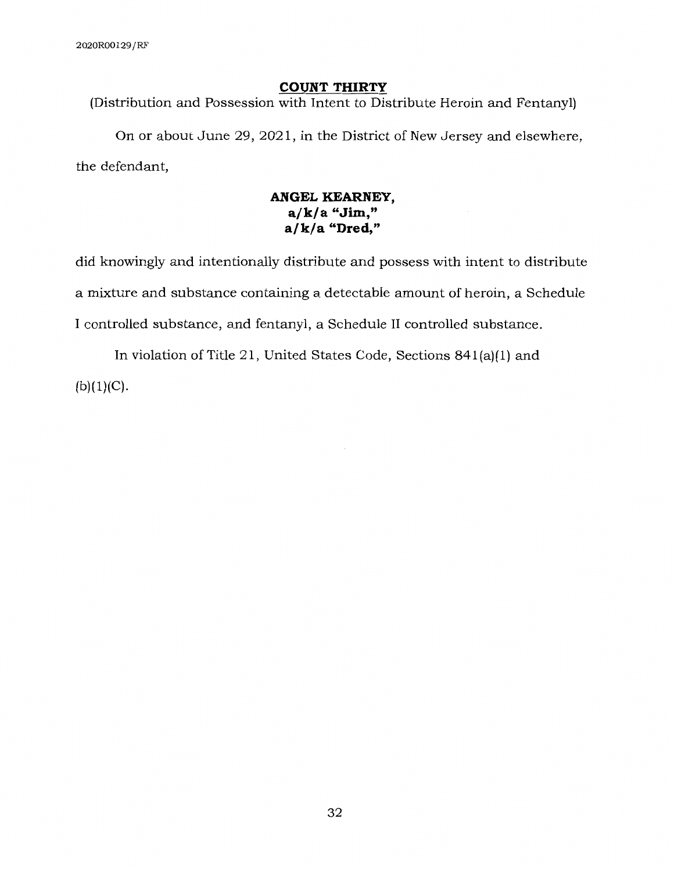# **COUNT THIRTY**

(Distribution and Possession with Intent to Distribute Heroin and Fentanyl)

On or about June 29, 2021, in the District of New Jersey and elsewhere, the defendant,

# **ANGEL KEARNEY, a/k/a "Jim," a/k/a "Dred,"**

did knowingly and intentionally distribute and possess with intent to distribute a mixture and substance containing a detectable amount of heroin, a Schedule I controlled substance, and fentanyl, a Schedule II controlled substance.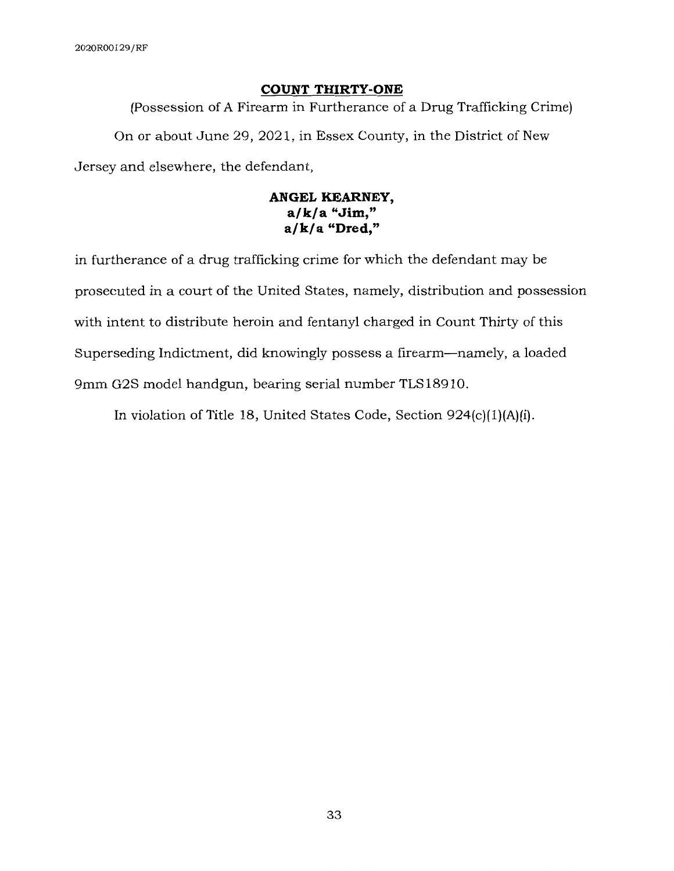### **COUNT THIRTY-ONE**

(Possession of A Firearm in Furtherance of a Drug Trafficking Crime) On or about June 29, 2021, in Essex County, in the District of New Jersey and elsewhere, the defendant,

# **ANGEL KEARNEY, a/k/a "Jim," a/k/a "Dred,"**

in furtherance of a drug trafficking crime for which the defendant may be prosecuted in a court of the United States, namely, distribution and possession with intent to distribute heroin and fentanyl charged in Count Thirty of this Superseding Indictment, did knowingly possess a firearm-namely, a loaded 9mm G2S model handgun, bearing serial number TLS18910.

In violation of Title 18, United States Code, Section 924(c)(l)(A)(i).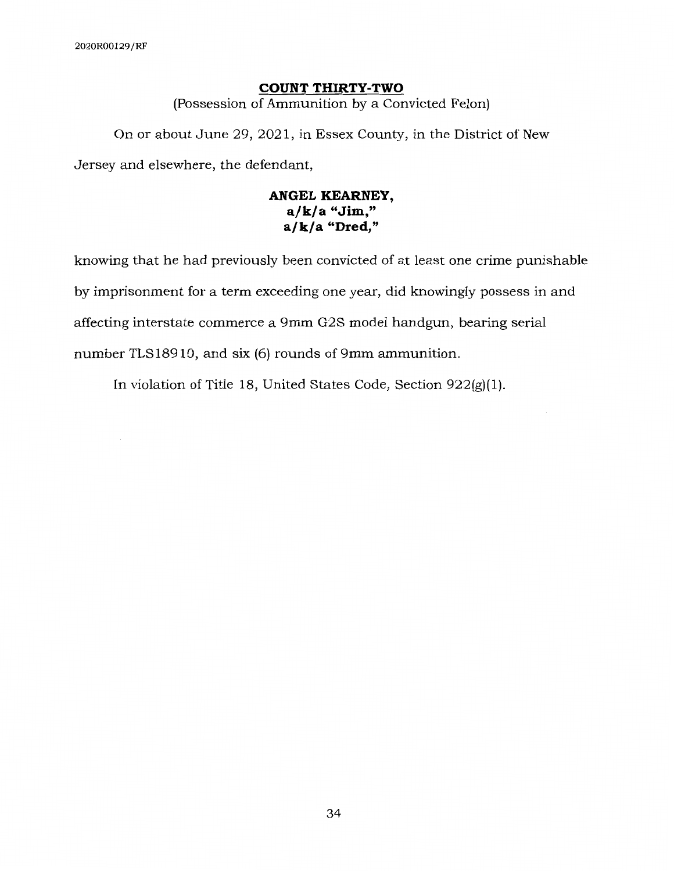# **COUNT THIRTY-TWO**

(Possession of Ammunition by a Convicted Felon)

On or about June 29, 2021, in Essex County, in the District of New Jersey and elsewhere, the defendant,

# **ANGEL KEARNEY, a/k/a "Jim," a/k/a "Dred,"**

knowing that he had previously been convicted of at least one crime punishable by imprisonment for a term exceeding one year, did knowingly possess in and affecting interstate commerce a 9mm G2S model handgun, bearing serial number TLS18910, and six (6) rounds of 9mm ammunition.

In violation of Title 18, United States Code, Section 922(g)(l).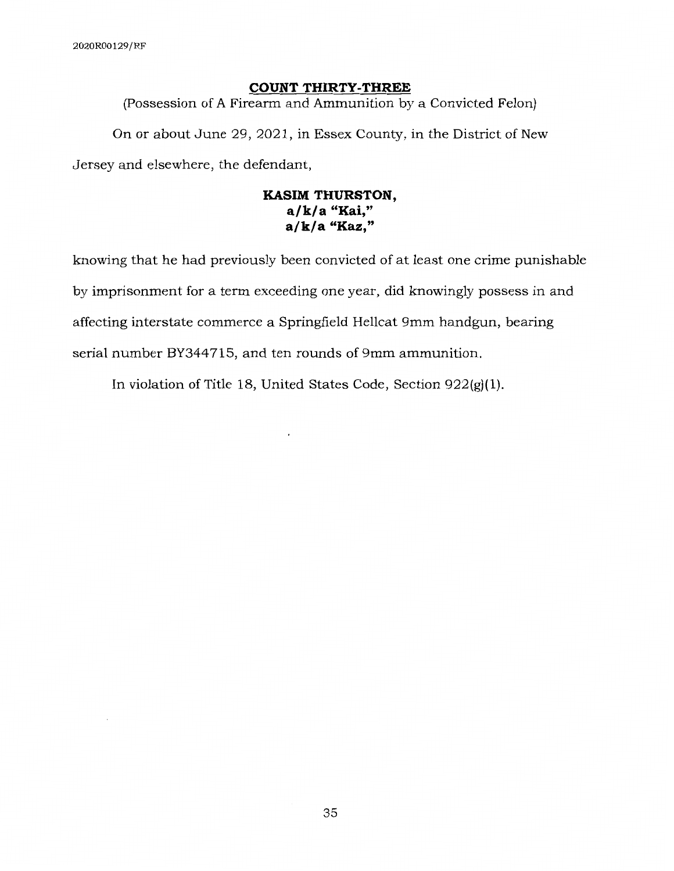÷,

### **COUNT THIRTY-THREE**

(Possession of A Firearm and Ammunition by a Convicted Felon)

On or about June 29, 2021, in Essex County, in the District of New Jersey and elsewhere, the defendant,

# **KASIM THURSTON, a/k/a "Kai," a/k/a "Kaz,"**

knowing that he had previously been convicted of at least one crime punishable by imprisonment for a term exceeding one year, did knowingly possess in and affecting interstate commerce a Springfield Hellcat 9mm handgun, bearing serial number BY344715, and ten rounds of 9mm ammunition.

In violation of Title 18, United States Code, Section 922(g)(l).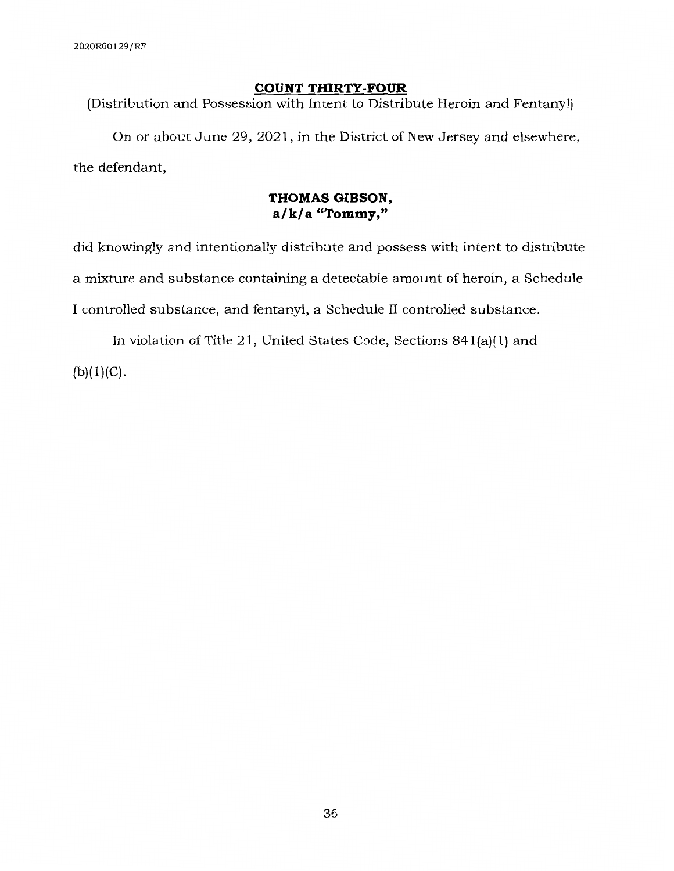### **COUNT THIRTY-FOUR**

(Distribution and Possession with Intent to Distribute Heroin and Fentanyl)

On or about June 29, 2021, in the District of New Jersey and elsewhere, the defendant,

# **THOMAS GIBSON, a/ k/ a "Tommy,"**

did knowingly and intentionally distribute and possess with intent to distribute a mixture and substance containing a detectable amount of heroin, a Schedule I controlled substance, and fentanyl, a Schedule II controlled substance.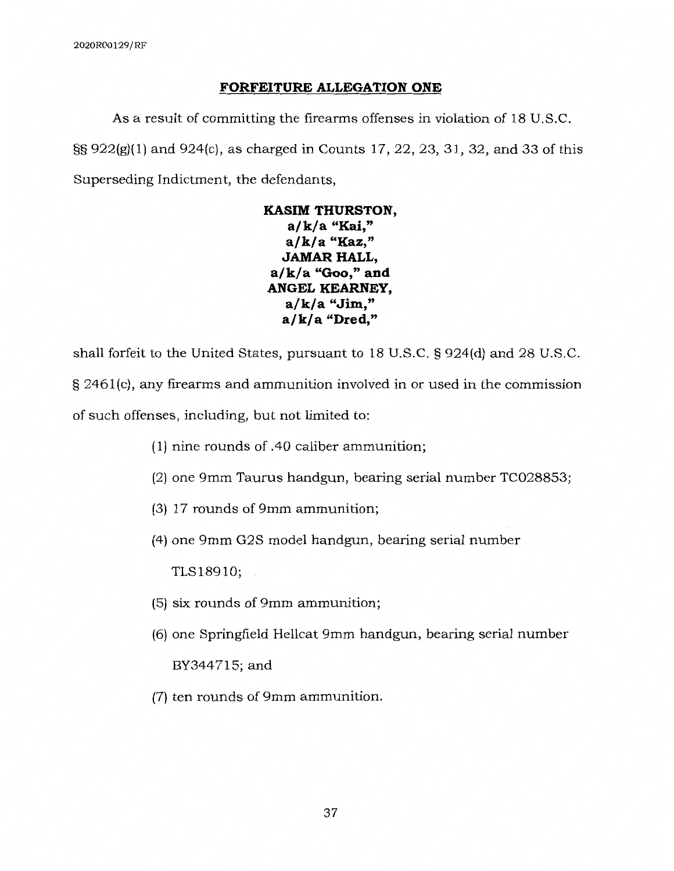## **FORFEITURE ALLEGATION ONE**

As a result of committing the firearms offenses in violation of 18 U.S.C. §§ 922(g)(l) and 924(c), as charged in Counts 17, 22, 23, 31, 32, and 33 of this Superseding Indictment, the defendants,

**KASIM THURSTON, a/k/a "Kai," a/k/a "Kaz," JAMAR HALL, a/k/a "Goo," and ANGEL KEARNEY, a/k/a "Jim," a/k/a "Dred,"** 

shall forfeit to the United States, pursuant to 18 U.S.C. § 924(d) and 28 U.S.C. § 2461(c), any firearms and ammunition involved in or used in the commission of such offenses, including, but not limited to:

- ( 1) nine rounds of .40 caliber ammunition;
- (2) one 9mm Taurus handgun, bearing serial number TC028853;
- (3) 17 rounds of 9mm ammunition;
- (4) one 9mm G2S model handgun, bearing serial number

TLS18910;

- (5) six rounds of 9mm ammunition;
- (6) one Springfield Hellcat 9mm handgun, bearing serial number

BY344715;and

(7) ten rounds of 9mm ammunition.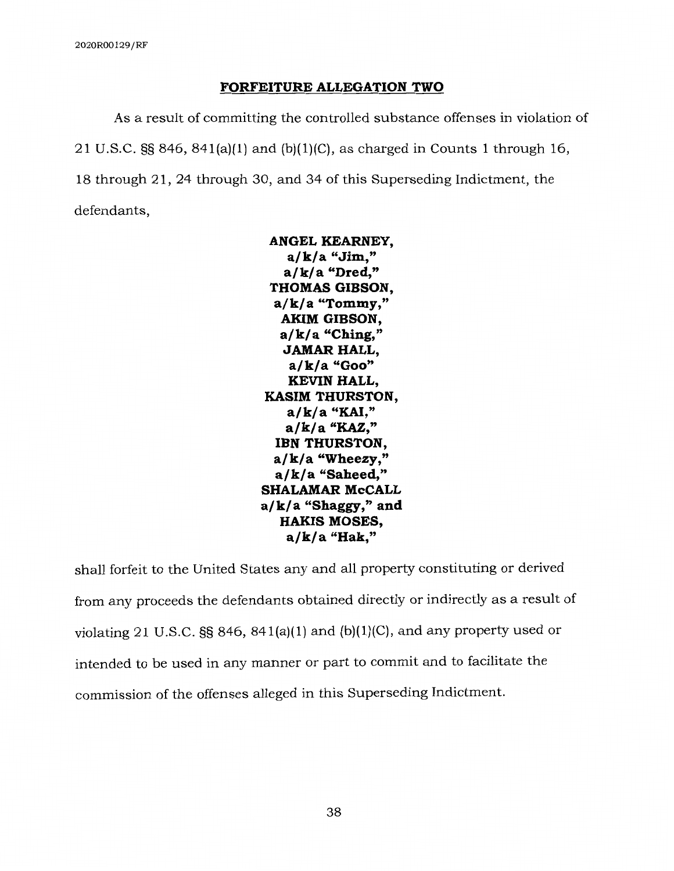### **FORFEITURE ALLEGATION TWO**

**As** a result of committing the controlled substance offenses in violation of 21 U.S.C.  $\S$ § 846, 841(a)(1) and (b)(1)(C), as charged in Counts 1 through 16, 18 through 21, 24 through 30, and 34 of this Superseding Indictment, the defendants,

> **ANGEL KEARNEY, a/k/a "Jim," a/k/a "Dred," THOMAS GIBSON, a/k/a "Tommy," AKIM GIBSON, a/k/a "Ching," JAMAR HALL, a/k/a "Goo" KEVIN HALL, KASIM THURSTON, a/k/a "KAI," a/k/a "KAZ," IBN THURSTON, a/k/a "Wheezy," a/k/a "Saheed," SHALAMAR McCALL a/ k/ a "Shaggy," and HAKIS MOSES, a/k/a "Hak,"**

shall forfeit to the United States any and all property constituting or derived from any proceeds the defendants obtained directly or indirectly as a result of violating 21 U.S.C.  $\S$ § 846, 841(a)(1) and (b)(1)(C), and any property used or intended to be used in any manner or part to commit and to facilitate the commission of the offenses alleged in this Superseding Indictment.